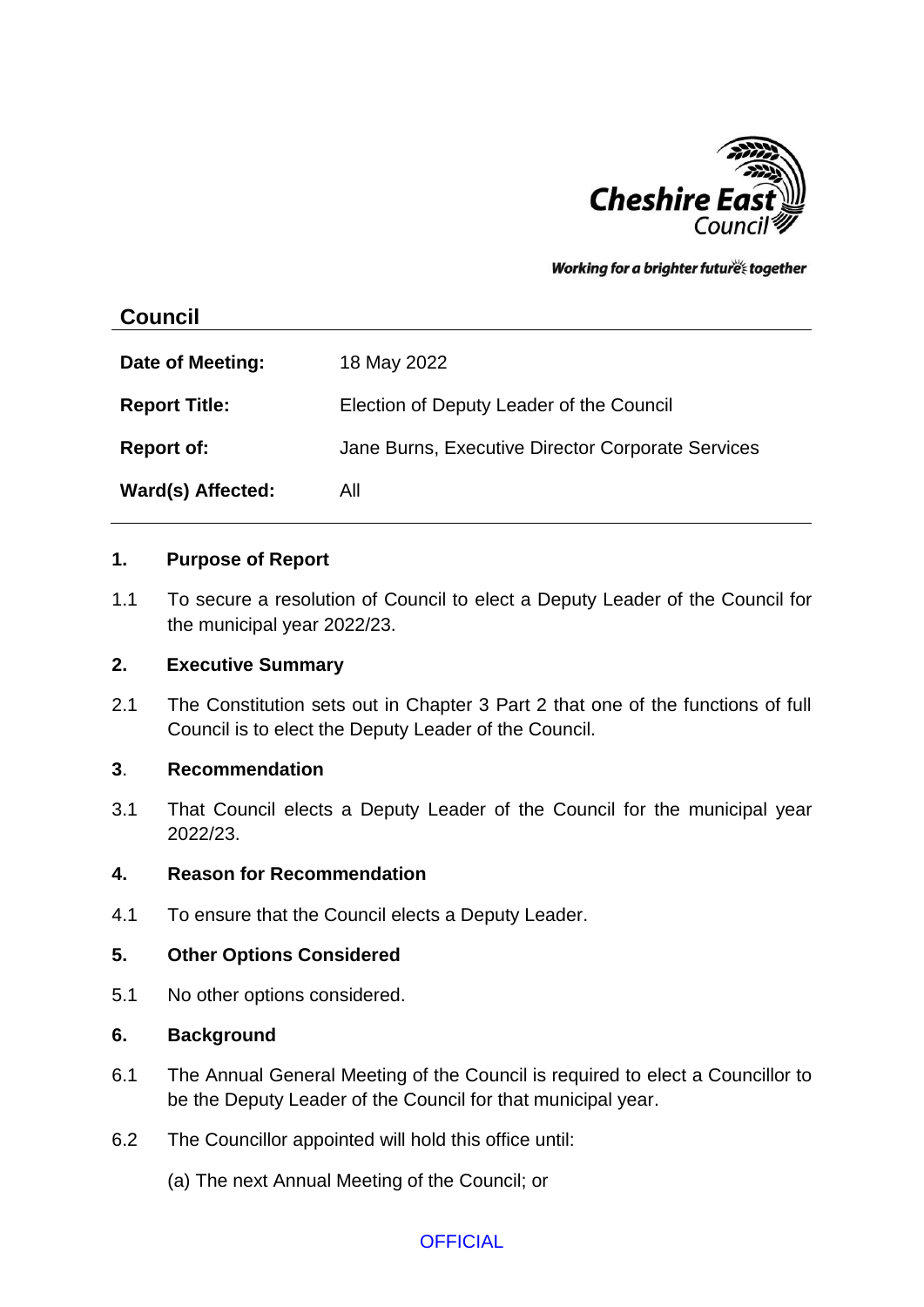

Working for a brighter futures together

# **Council**

| Date of Meeting:     | 18 May 2022                                       |
|----------------------|---------------------------------------------------|
| <b>Report Title:</b> | Election of Deputy Leader of the Council          |
| <b>Report of:</b>    | Jane Burns, Executive Director Corporate Services |
| Ward(s) Affected:    | All                                               |

#### **1. Purpose of Report**

1.1 To secure a resolution of Council to elect a Deputy Leader of the Council for the municipal year 2022/23.

## **2. Executive Summary**

2.1 The Constitution sets out in Chapter 3 Part 2 that one of the functions of full Council is to elect the Deputy Leader of the Council.

#### **3**. **Recommendation**

3.1 That Council elects a Deputy Leader of the Council for the municipal year 2022/23.

### **4. Reason for Recommendation**

4.1 To ensure that the Council elects a Deputy Leader.

#### **5. Other Options Considered**

5.1 No other options considered.

#### **6. Background**

- 6.1 The Annual General Meeting of the Council is required to elect a Councillor to be the Deputy Leader of the Council for that municipal year.
- 6.2 The Councillor appointed will hold this office until:
	- (a) The next Annual Meeting of the Council; or

## **OFFICIAL**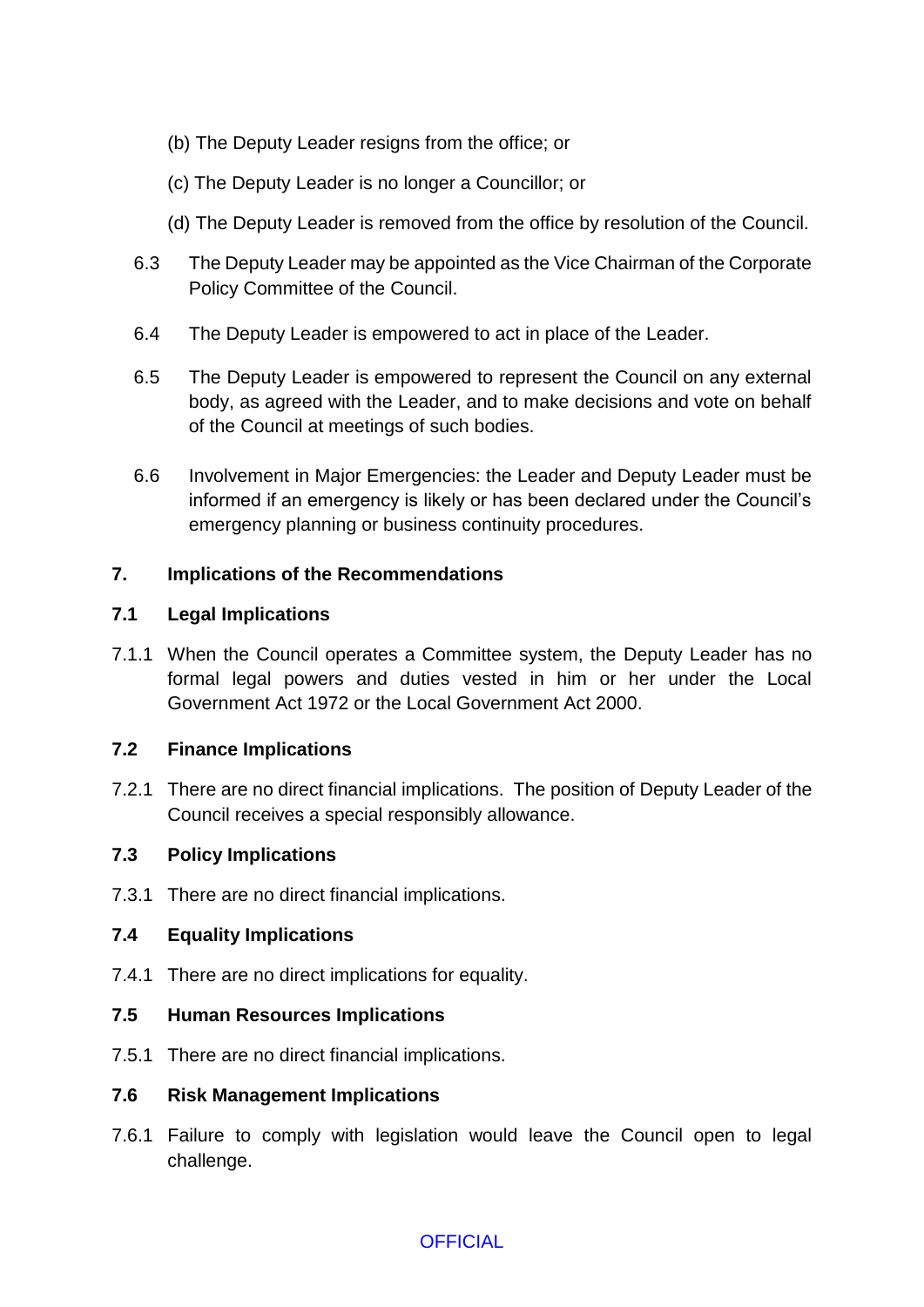- (b) The Deputy Leader resigns from the office; or
- (c) The Deputy Leader is no longer a Councillor; or
- (d) The Deputy Leader is removed from the office by resolution of the Council.
- 6.3 The Deputy Leader may be appointed as the Vice Chairman of the Corporate Policy Committee of the Council.
- 6.4 The Deputy Leader is empowered to act in place of the Leader.
- 6.5 The Deputy Leader is empowered to represent the Council on any external body, as agreed with the Leader, and to make decisions and vote on behalf of the Council at meetings of such bodies.
- 6.6 Involvement in Major Emergencies: the Leader and Deputy Leader must be informed if an emergency is likely or has been declared under the Council's emergency planning or business continuity procedures.

### **7. Implications of the Recommendations**

#### **7.1 Legal Implications**

7.1.1 When the Council operates a Committee system, the Deputy Leader has no formal legal powers and duties vested in him or her under the Local Government Act 1972 or the Local Government Act 2000.

#### **7.2 Finance Implications**

7.2.1 There are no direct financial implications. The position of Deputy Leader of the Council receives a special responsibly allowance.

#### **7.3 Policy Implications**

7.3.1 There are no direct financial implications.

## **7.4 Equality Implications**

7.4.1 There are no direct implications for equality.

#### **7.5 Human Resources Implications**

7.5.1 There are no direct financial implications.

#### **7.6 Risk Management Implications**

7.6.1 Failure to comply with legislation would leave the Council open to legal challenge.

**OFFICIAL**